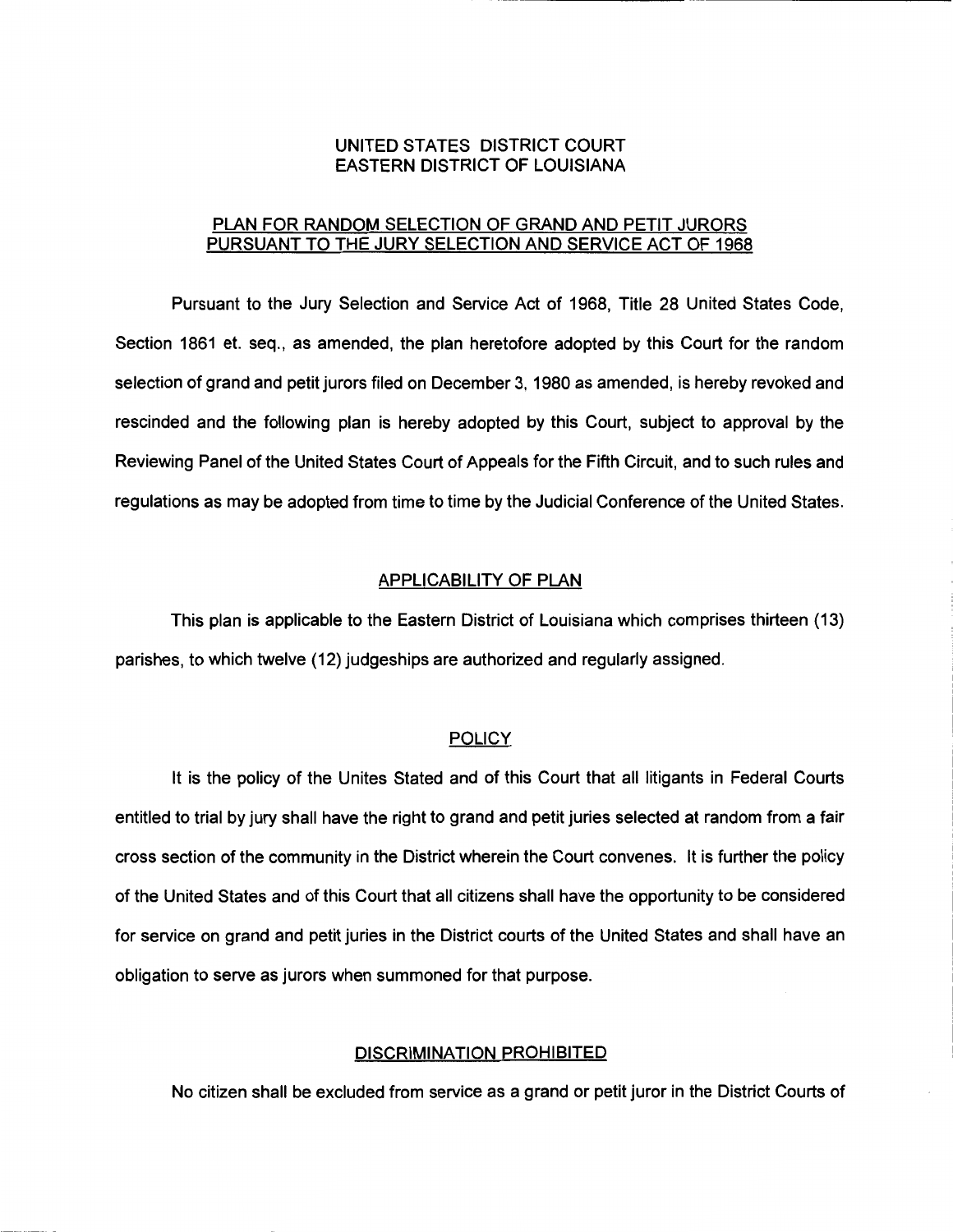# UNITED STATES DISTRICT COURT EASTERN DISTRICT OF LOUISIANA

# PLAN FOR RANDOM SELECTION OF GRAND AND PETIT JURORS PURSUANT TO THE JURY SELECTION AND SERVICE ACT OF 1968

Pursuant to the Jury Selection and Service Act of 1968, Title 28 United States Code, Section 1861 et. seq., as amended, the plan heretofore adopted by this Court for the random selection of grand and petit jurors filed on December 3, 1980 as amended, is hereby revoked and rescinded and the following plan is hereby adopted by this Court, subject to approval by the Reviewing Panel of the United States Court of Appeals for the Fifth Circuit, and to such rules and regulations as may be adopted from time to time by the Judicial Conference of the United States.

### APPLICABILITY OF PLAN

This plan is applicable to the Eastern District of Louisiana which comprises thirteen (13) parishes, to which twelve (12) judgeships are authorized and regularly assigned.

## **POLICY**

It is the policy of the Unites Stated and of this Court that all litigants in Federal Courts entitled to trial by jury shall have the right to grand and petit juries selected at random from a fair cross section of the community in the District wherein the Court convenes. It is further the policy of the United States and of this Court that all citizens shall have the opportunity to be considered for service on grand and petit juries in the District courts of the United States and shall have an obligation to serve as jurors when summoned for that purpose.

# DISCRIMINATION PROHIBITED

No citizen shall be excluded from service as a grand or petit juror in the District Courts of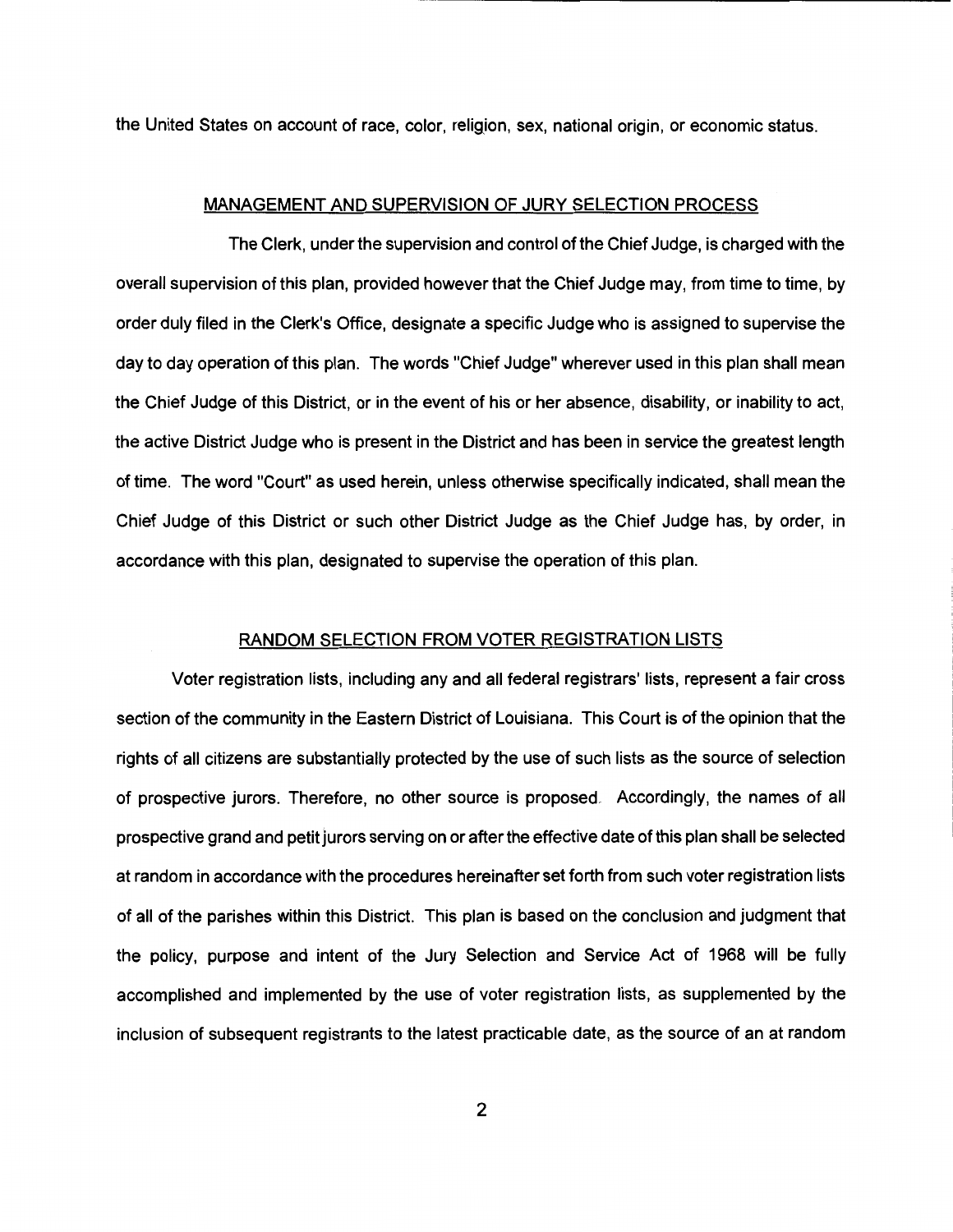the United States on account of race, color, religion, sex, national origin, or economic status.

## MANAGEMENT AND SUPERVISION OF JURY SELECTION PROCESS

The Clerk, under the supervision and control of the Chief Judge, is charged with the overall supervision of this plan, provided however that the Chief Judge may, from time to time, by order duly filed in the Clerk's Office, designate a specific Judge who is assigned to supervise the day to day operation of this plan. The words "Chief Judge" wherever used in this plan shall mean the Chief Judge of this District, or in the event of his or her absence, disability, or inability to act, the active District Judge who is present in the District and has been in service the greatest length of time. The word "Court" as used herein, unless otherwise specifically indicated, shall mean the Chief Judge of this District or such other District Judge as the Chief Judge has, by order, in accordance with this plan, designated to supervise the operation of this plan.

## RANDOM SELECTION FROM VOTER REGISTRATION LISTS

Voter registration lists, including any and all federal registrars' lists, represent a fair cross section of the community in the Eastern District of Louisiana. This Court is of the opinion that the rights of all citizens are substantially protected by the use of such lists as the source of selection of prospective jurors. Therefore, no other source is proposed. Accordingly, the names of all prospective grand and petit jurors serving on or after the effective date of this plan shall be selected at random in accordance with the procedures hereinafter set forth from such voter registration lists of all of the parishes within this District. This plan is based on the conclusion and judgment that the policy, purpose and intent of the Jury Selection and Service Act of 1968 will be fully accomplished and implemented by the use of voter registration lists, as supplemented by the inclusion of subsequent registrants to the latest practicable date, as the source of an at random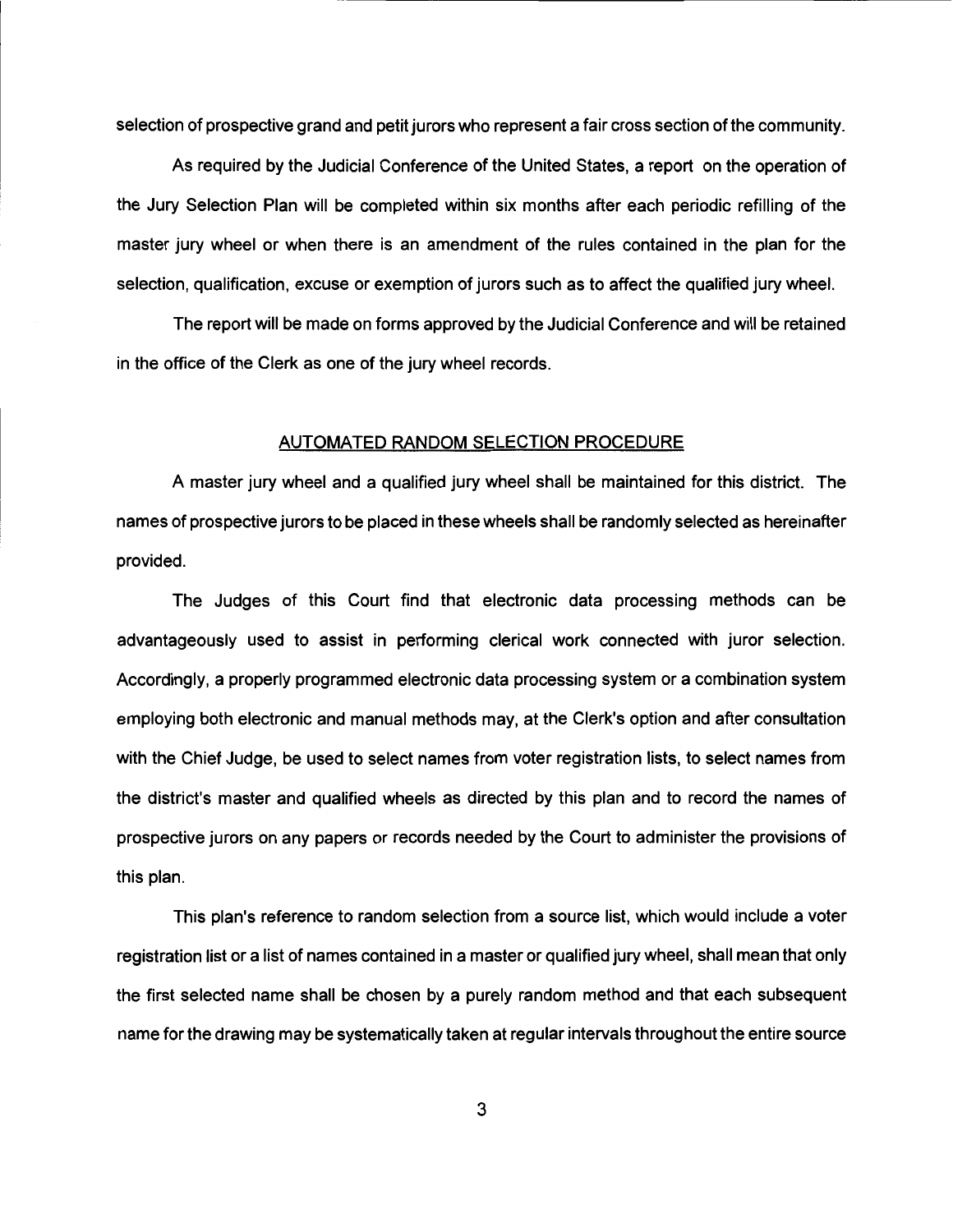selection of prospective grand and petit jurors who represent a fair cross section of the community.

As required by the Judicial Conference of the United States, a report on the operation of the Jury Selection Plan will be completed within six months after each periodic refilling of the master jury wheel or when there is an amendment of the rules contained in the plan for the selection, qualification, excuse or exemption of jurors such as to affect the qualified jury wheel.

The report will be made on forms approved by the Judicial Conference and will be retained in the office of the Clerk as one of the jury wheel records.

# AUTOMATED RANDOM SELECTION PROCEDURE

A master jury wheel and a qualified jury wheel shall be maintained for this district. The names of prospective jurors to be placed in these wheels shall be randomly selected as hereinafter provided.

The Judges of this Court find that electronic data processing methods can be advantageously used to assist in performing clerical work connected with juror selection. Accordingly, a properly programmed electronic data processing system or a combination system employing both electronic and manual methods may, at the Clerk's option and after consultation with the Chief Judge, be used to select names from voter registration lists, to select names from the district's master and qualified wheels as directed by this plan and to record the names of prospective jurors on any papers or records needed by the Court to administer the provisions of this plan.

This plan's reference to random selection from a source list, which would include a voter registration list or a list of names contained in a master or qualified jury wheel, shall mean that only the first selected name shall be chosen by a purely random method and that each subsequent name for the drawing may be systematically taken at regular intervals throughout the entire source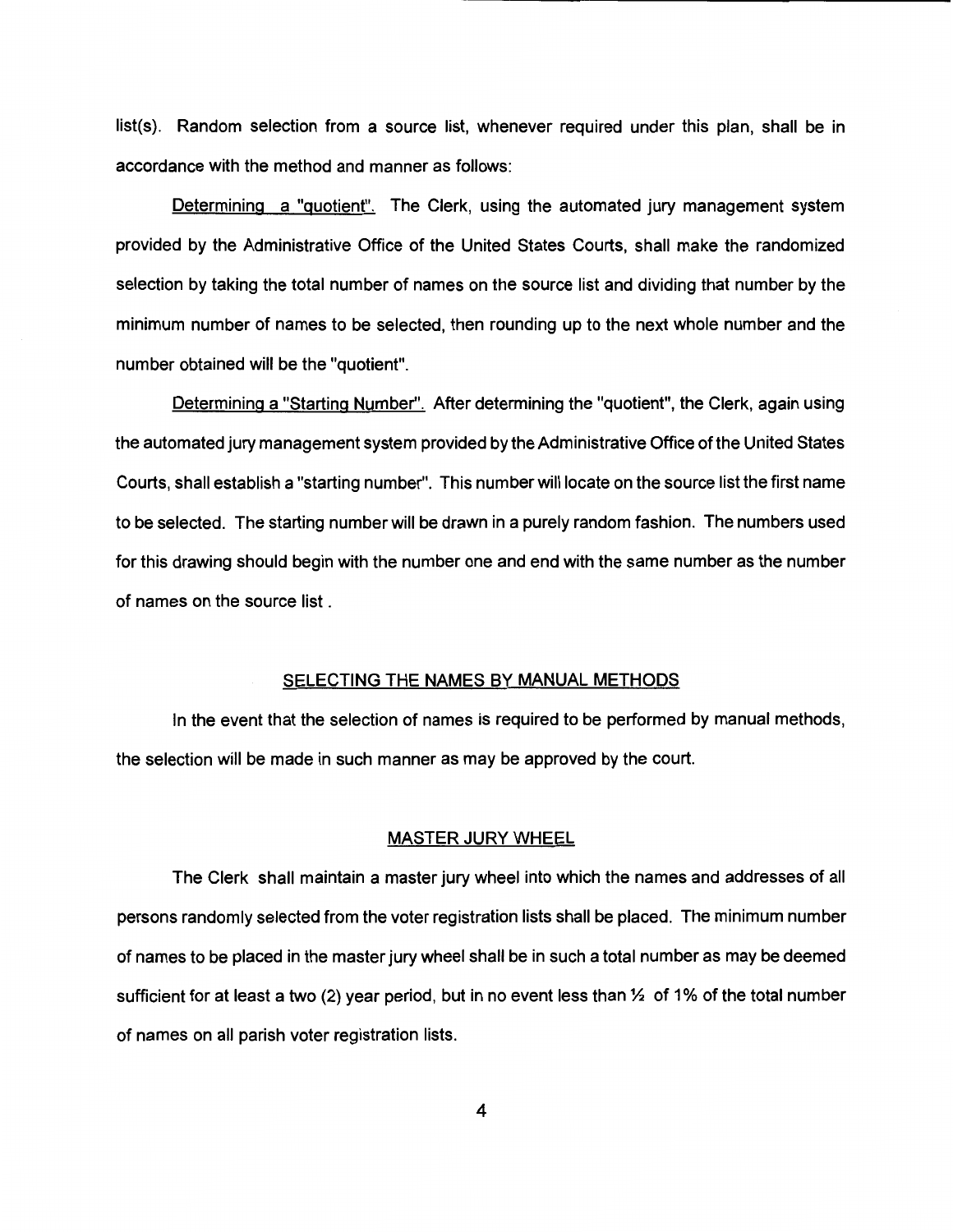list(s). Random selection from a source list, whenever required under this plan, shall be in accordance with the method and manner as follows:

Determining a "quotient". The Clerk, using the automated jury management system provided by the Administrative Office of the United States Courts, shall make the randomized selection by taking the total number of names on the source list and dividing that number by the minimum number of names to be selected, then rounding up to the next whole number and the number obtained will be the "quotient".

Determining a "Starting Number". After determining the "quotient", the Clerk, again using the automated jury management system provided by the Administrative Office of the United States Courts, shall establish a "starting number''. This number will locate on the source list the first name to be selected. The starting number will be drawn in a purely random fashion. The numbers used for this drawing should begin with the number one and end with the same number as the number of names on the source list .

### SELECTING THE NAMES BY MANUAL METHODS

In the event that the selection of names is required to be performed by manual methods, the selection will be made in such manner as may be approved by the court.

# MASTER JURY WHEEL

The Clerk shall maintain a master jury wheel into which the names and addresses of all persons randomly selected from the voter registration lists shall be placed. The minimum number of names to be placed in the master jury wheel shall be in such a total number as may be deemed sufficient for at least a two (2) year period, but in no event less than  $\frac{1}{2}$  of 1% of the total number of names on all parish voter registration lists.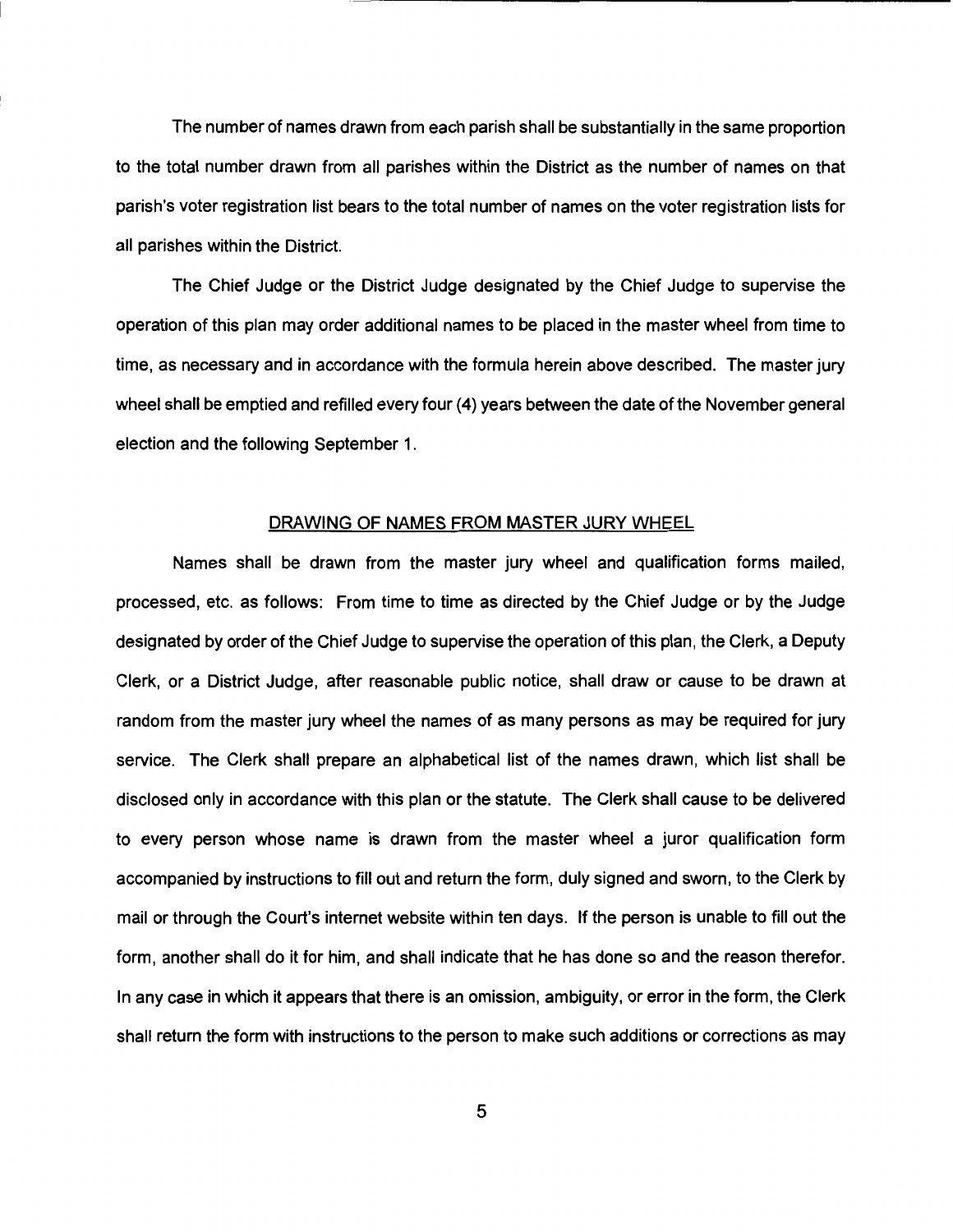The number of names drawn from each parish shall be substantially in the same proportion to the total number drawn from all parishes within the District as the number of names on that parish's voter registration list bears to the total number of names on the voter registration lists for all parishes within the District.

The Chief Judge or the District Judge designated by the Chief Judge to supervise the operation of this plan may order additional names to be placed in the master wheel from time to time, as necessary and in accordance with the formula herein above described. The master jury wheel shall be emptied and refilled every four (4) years between the date of the November general election and the following September 1.

### DRAWING OF NAMES FROM MASTER JURY WHEEL

Names shall be drawn from the master jury wheel and qualification forms mailed, processed, etc. as follows: From time to time as directed by the Chief Judge or by the Judge designated by order of the Chief Judge to supervise the operation of this plan, the Clerk, a Deputy Clerk, or a District Judge, after reasonable public notice, shall draw or cause to be drawn at random from the master jury wheel the names of as many persons as may be required for jury service. The Clerk shall prepare an alphabetical list of the names drawn, which list shall be disclosed only in accordance with this plan or the statute. The Clerk shall cause to be delivered to every person whose name is drawn from the master wheel a juror qualification form accompanied by instructions to fill out and return the form, duly signed and sworn, to the Clerk by mail or through the Court's internet website within ten days. If the person is unable to fill out the form, another shall do it for him, and shall indicate that he has done so and the reason therefor. In any case in which it appears that there is an omission, ambiguity, or error in the form, the Clerk shall return the form with instructions to the person to make such additions or corrections as may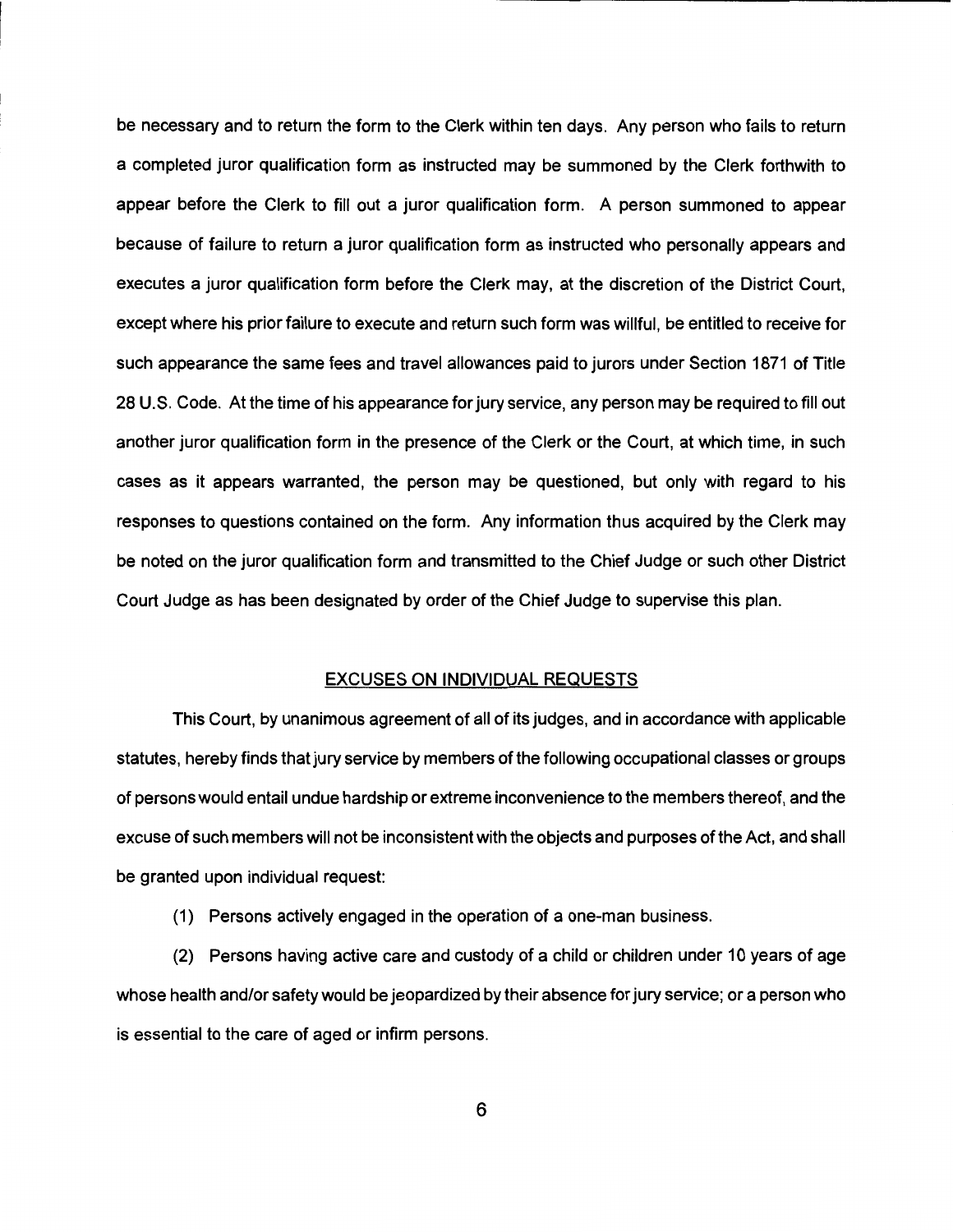be necessary and to return the form to the Clerk within ten days. Any person who fails to return a completed juror qualification form as instructed may be summoned by the Clerk forthwith to appear before the Clerk to fill out a juror qualification form. A person summoned to appear because of failure to return a juror qualification form as instructed who personally appears and executes a juror qualification form before the Clerk may, at the discretion of the District Court, except where his prior failure to execute and return such form was willful, be entitled to receive for such appearance the same fees and travel allowances paid to jurors under Section 1871 of Title 28 U.S. Code. At the time of his appearance for jury service, any person may be required to fill out another juror qualification form in the presence of the Clerk or the Court, at which time, in such cases as it appears warranted, the person may be questioned, but only with regard to his responses to questions contained on the form. Any information thus acquired by the Clerk may be noted on the juror qualification form and transmitted to the Chief Judge or such other District Court Judge as has been designated by order of the Chief Judge to supervise this plan.

# EXCUSES ON INDIVIDUAL REQUESTS

This Court, by unanimous agreement of all of its judges, and in accordance with applicable statutes, hereby finds that jury service by members of the following occupational classes or groups of persons would entail undue hardship or extreme inconvenience to the members thereof, and the excuse of such members will not be inconsistent with the objects and purposes of the Act, and shall be granted upon individual request:

(1) Persons actively engaged in the operation of a one-man business.

(2) Persons having active care and custody of a child or children under 10 years of age whose health and/or safety would be jeopardized by their absence for jury service; or a person who is essential to the care of aged or infirm persons.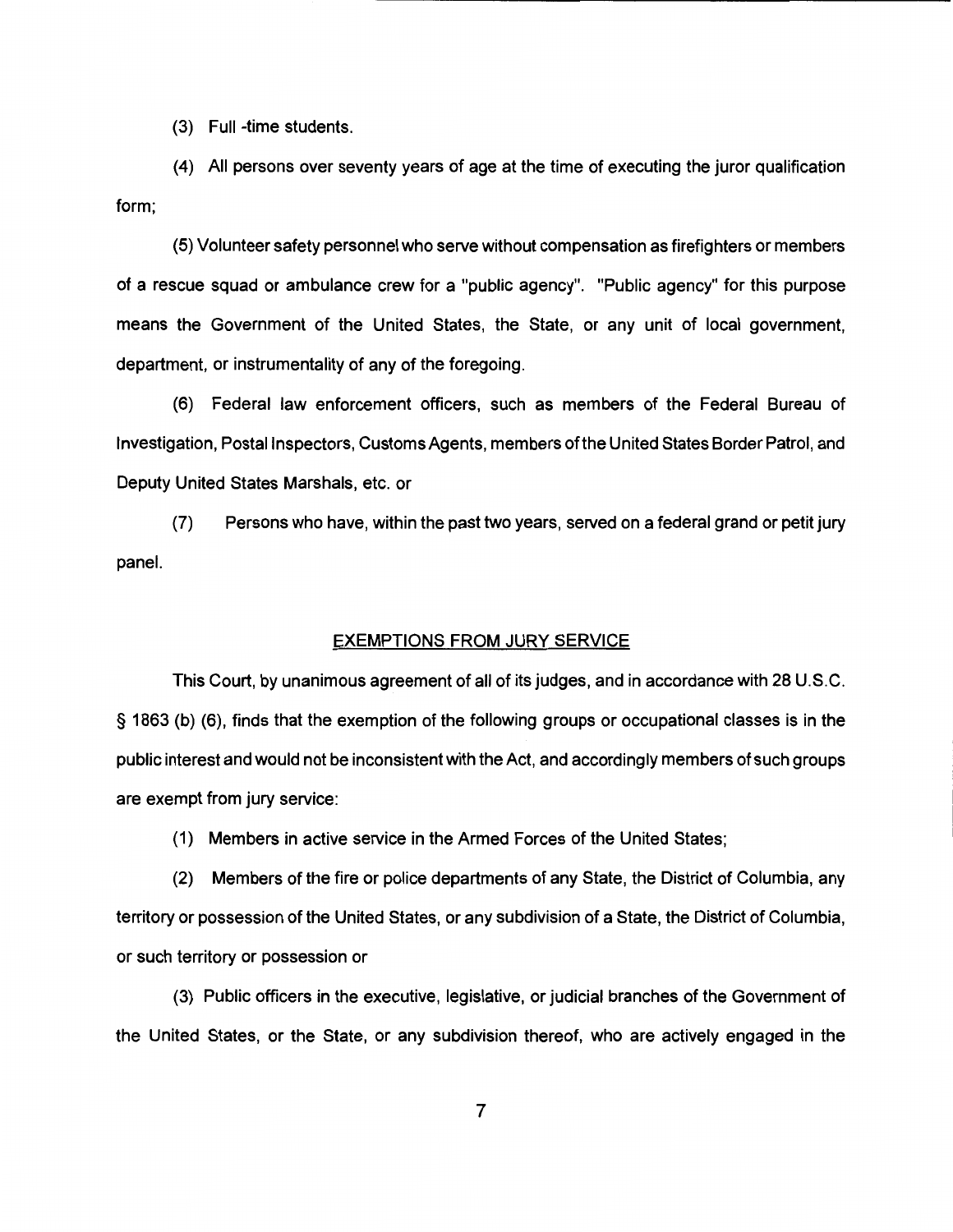(3) Full -time students.

(4) All persons over seventy years of age at the time of executing the juror qualification form;

(5) Volunteer safety personnel who serve without compensation as firefighters or members of a rescue squad or ambulance crew for a "public agency". "Public agency" for this purpose means the Government of the United States, the State, or any unit of local government, department, or instrumentality of any of the foregoing.

(6) Federal law enforcement officers, such as members of the Federal Bureau of Investigation, Postal Inspectors, Customs Agents, members oft he United States Border Patrol, and Deputy United States Marshals, etc. or

(7) Persons who have, within the past two years, served on a federal grand or petit jury panel.

## EXEMPTIONS FROM JURY SERVICE

This Court, by unanimous agreement of all of its judges, and in accordance with 28 U.S.C. § 1863 (b) (6), finds that the exemption of the following groups or occupational classes is in the public interest and would not be inconsistent with the Act, and accordingly members of such groups are exempt from jury service:

(1) Members in active service in the Armed Forces of the United States;

(2) Members of the fire or police departments of any State, the District of Columbia, any territory or possession of the United States, or any subdivision of a State, the District of Columbia, or such territory or possession or

(3) Public officers in the executive, legislative, or judicial branches of the Government of the United States, or the State, or any subdivision thereof, who are actively engaged in the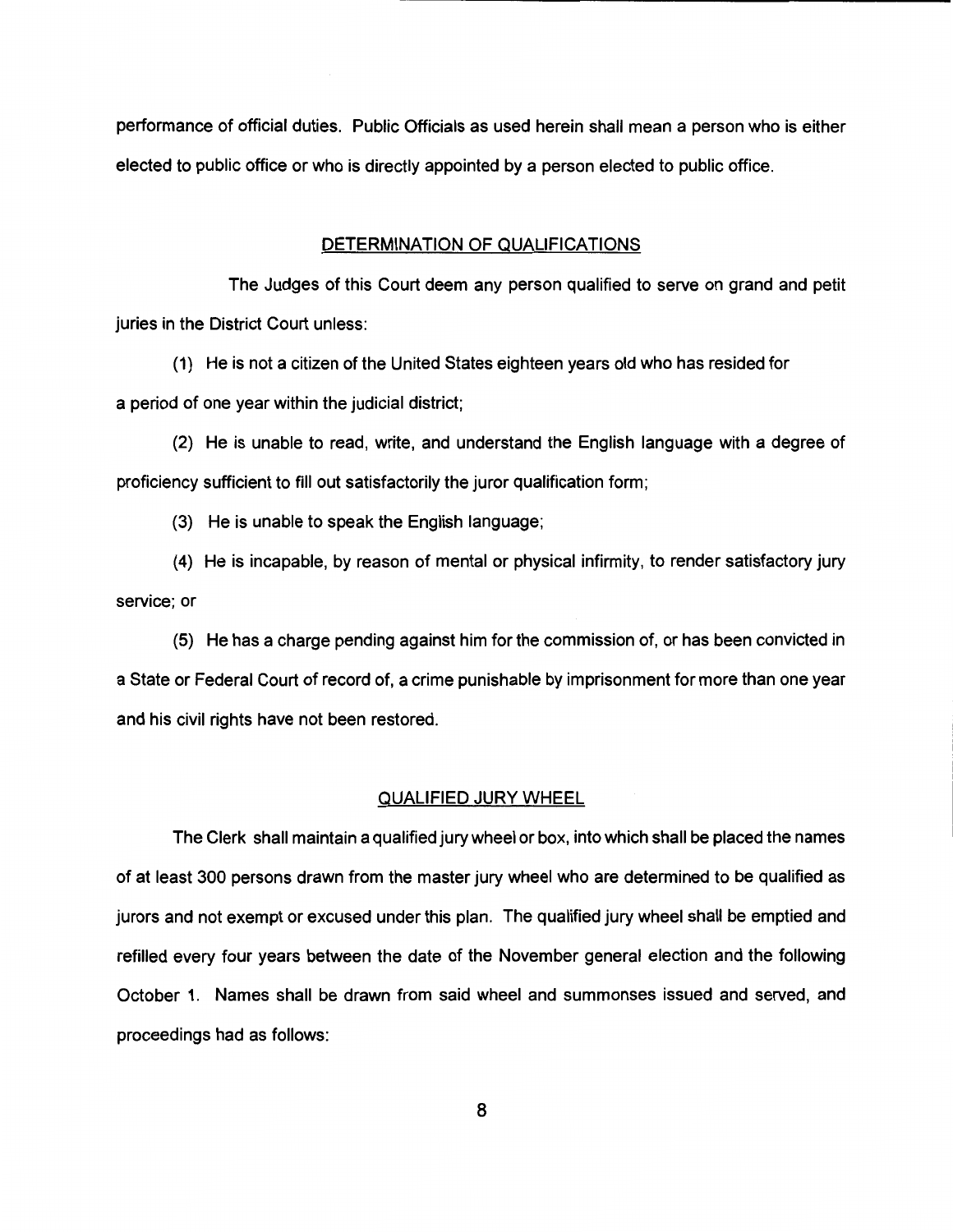performance of official duties. Public Officials as used herein shall mean a person who is either elected to public office or who is directly appointed by a person elected to public office.

# DETERMINATION OF QUALIFICATIONS

The Judges of this Court deem any person qualified to serve on grand and petit juries in the District Court unless:

(1) He is not a citizen of the United States eighteen years old who has resided for a period of one year within the judicial district;

(2) He is unable to read, write, and understand the English language with a degree of proficiency sufficient to fill out satisfactorily the juror qualification form;

(3) He is unable to speak the English language;

(4) He is incapable, by reason of mental or physical infirmity, to render satisfactory jury service; or

(5) He has a charge pending against him for the commission of, or has been convicted in a State or Federal Court of record of, a crime punishable by imprisonment for more than one year and his civil rights have not been restored.

### QUALIFIED JURY WHEEL

The Clerk shall maintain a qualified jury wheel or box, into which shall be placed the names of at least 300 persons drawn from the master jury wheel who are determined to be qualified as jurors and not exempt or excused under this plan. The qualified jury wheel shall be emptied and refilled every four years between the date of the November general election and the following October 1. Names shall be drawn from said wheel and summonses issued and served, and proceedings had as follows: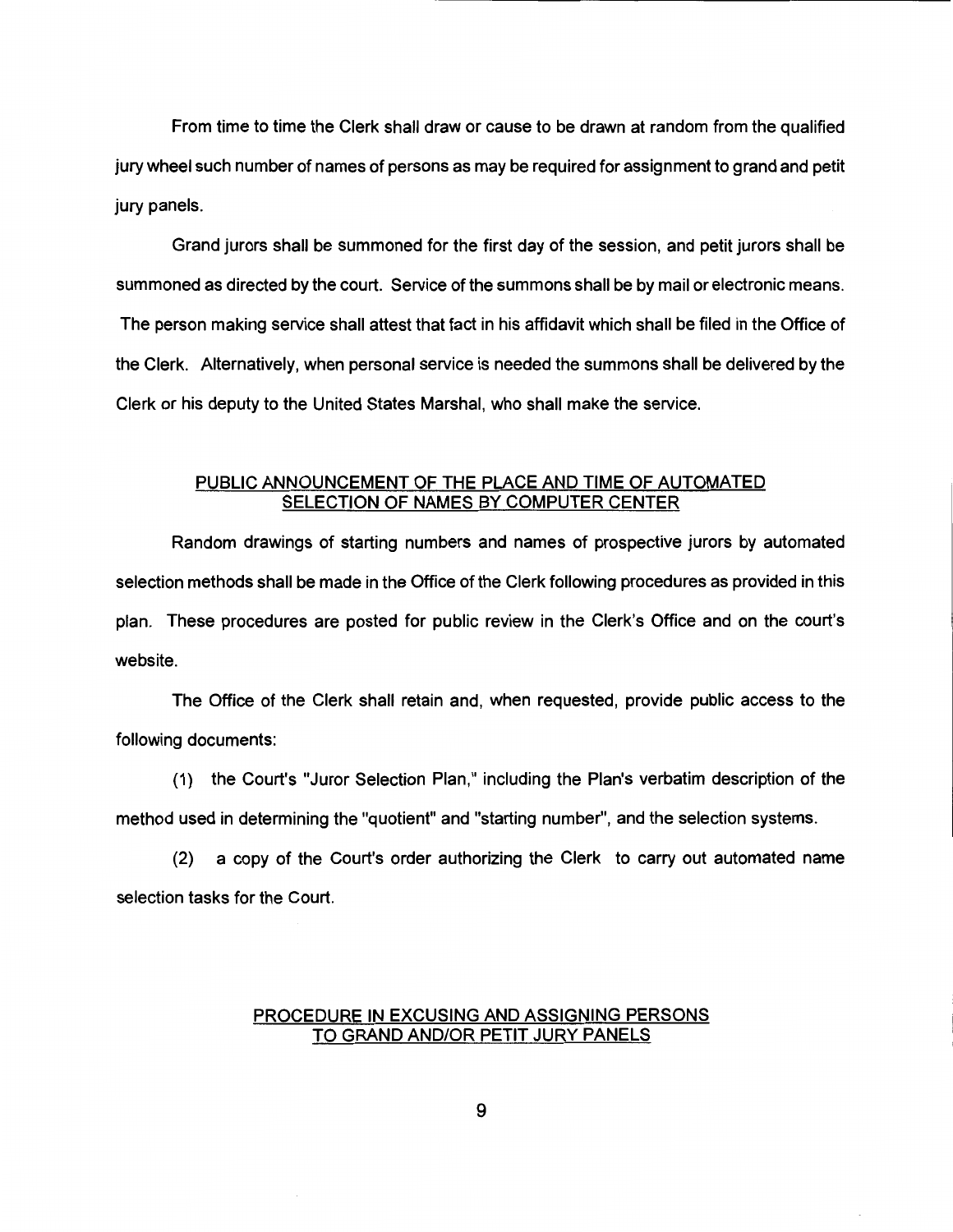From time to time the Clerk shall draw or cause to be drawn at random from the qualified jury wheel such number of names of persons as may be required for assignment to grand and petit jury panels.

Grand jurors shall be summoned for the first day of the session, and petit jurors shall be summoned as directed by the court. Service of the summons shall be by mail or electronic means. The person making service shall attest that fact in his affidavit which shall be filed in the Office of the Clerk. Alternatively, when personal service is needed the summons shall be delivered by the Clerk or his deputy to the United States Marshal, who shall make the service.

# PUBLIC ANNOUNCEMENT OF THE PLACE AND TIME OF AUTOMATED SELECTION OF NAMES BY COMPUTER CENTER

Random drawings of starting numbers and names of prospective jurors by automated selection methods shall be made in the Office of the Clerk following procedures as provided in this plan. These procedures are posted for public review in the Clerk's Office and on the court's website.

The Office of the Clerk shall retain and, when requested, provide public access to the following documents:

(1) the Court's "Juror Selection Plan," including the Plan's verbatim description of the method used in determining the "quotient" and "starting number", and the selection systems.

(2) a copy of the Court's order authorizing the Clerk to carry out automated name selection tasks for the Court.

# PROCEDURE IN EXCUSING AND ASSIGNING PERSONS TO GRAND AND/OR PETIT JURY PANELS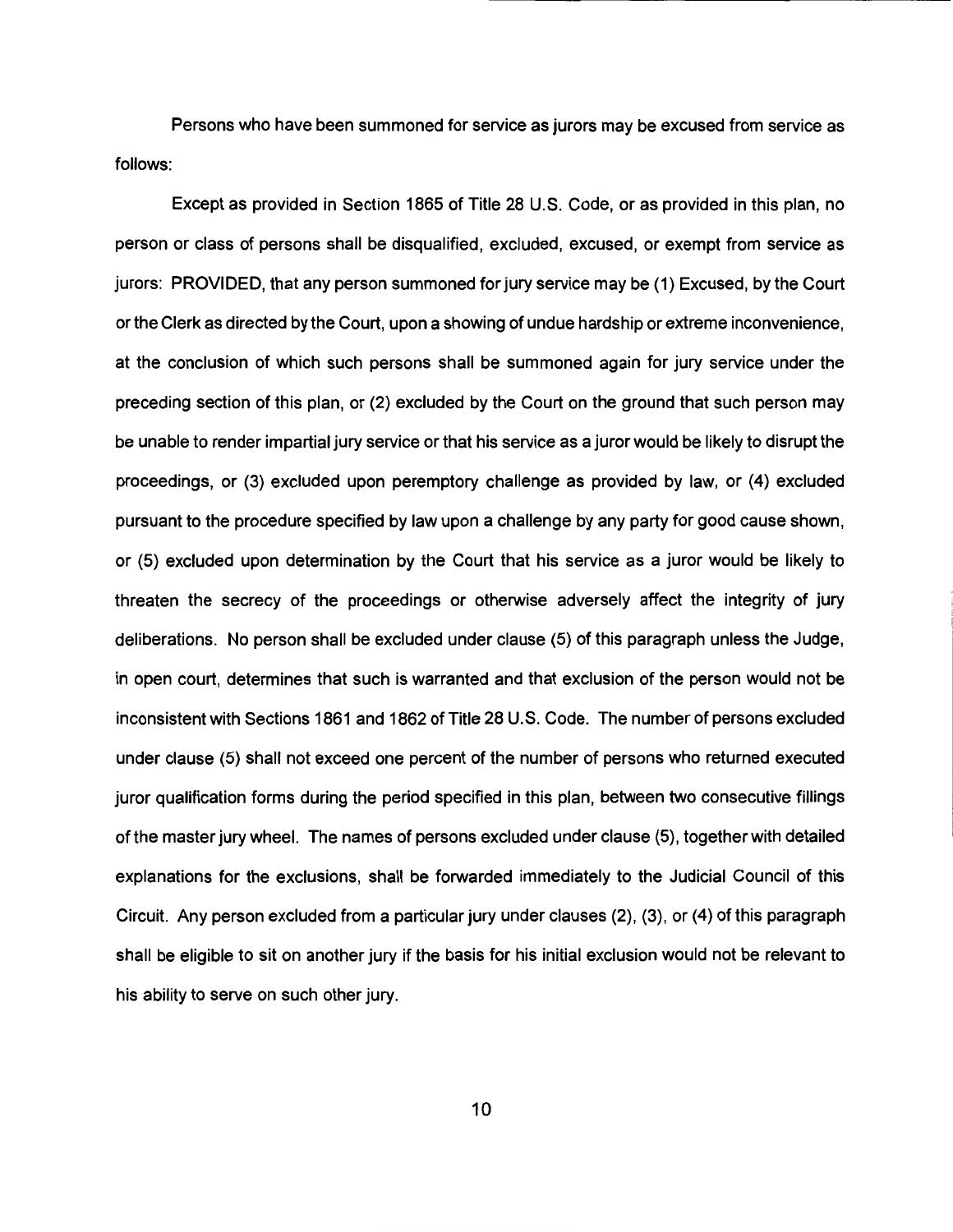Persons who have been summoned for service as jurors may be excused from service as follows:

Except as provided in Section 1865 of Title 28 U.S. Code, or as provided in this plan, no person or class of persons shall be disqualified, excluded, excused, or exempt from service as jurors: PROVIDED, that any person summoned for jury service may be (1) Excused, by the Court or the Clerk as directed by the Court, upon a showing of undue hardship or extreme inconvenience, at the conclusion of which such persons shall be summoned again for jury service under the preceding section of this plan, or (2) excluded by the Court on the ground that such person may be unable to render impartial jury service or that his service as a juror would be likely to disrupt the proceedings, or (3) excluded upon peremptory challenge as provided by law, or (4) excluded pursuant to the procedure specified by law upon a challenge by any party for good cause shown, or (5) excluded upon determination by the Court that his service as a juror would be likely to threaten the secrecy of the proceedings or otherwise adversely affect the integrity of jury deliberations. No person shall be excluded under clause (5) of this paragraph unless the Judge, in open court, determines that such is warranted and that exclusion of the person would not be inconsistent with Sections 1861 and 1862 of Title 28 U.S. Code. The number of persons excluded under clause (5) shall not exceed one percent of the number of persons who returned executed juror qualification forms during the period specified in this plan, between two consecutive fillings of the master jury wheel. The names of persons excluded under clause (5), together with detailed explanations for the exclusions, shall be forwarded immediately to the Judicial Council of this Circuit. Any person excluded from a particular jury under clauses (2), (3), or (4) of this paragraph shall be eligible to sit on another jury if the basis for his initial exclusion would not be relevant to his ability to serve on such other jury.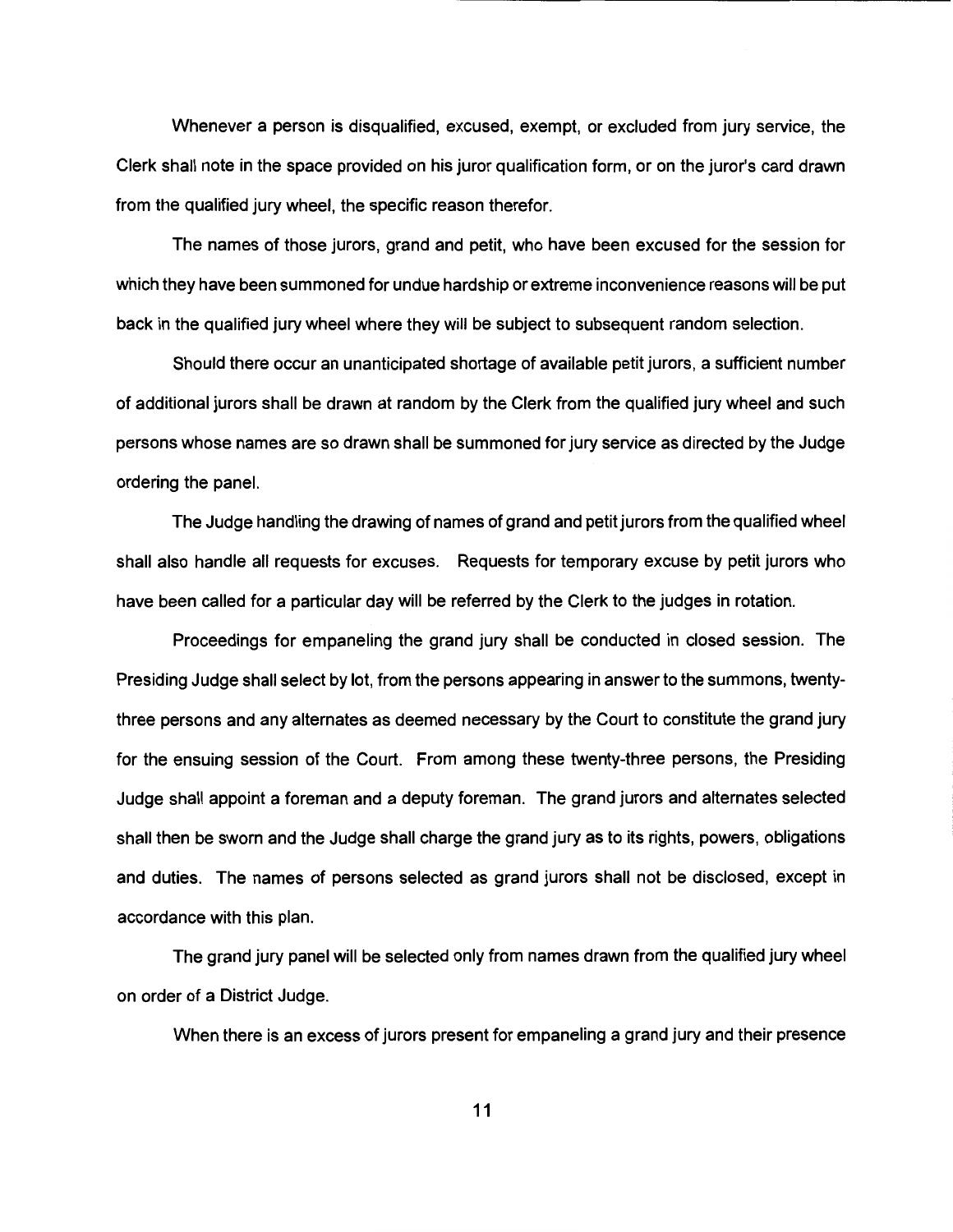Whenever a person is disqualified, excused, exempt, or excluded from jury service, the Clerk shall note in the space provided on his juror qualification form, or on the juror's card drawn from the qualified jury wheel, the specific reason therefor.

The names of those jurors, grand and petit, who have been excused for the session for which they have been summoned for undue hardship or extreme inconvenience reasons will be put back in the qualified jury wheel where they will be subject to subsequent random selection.

Should there occur an unanticipated shortage of available petit jurors, a sufficient number of additional jurors shall be drawn at random by the Clerk from the qualified jury wheel and such persons whose names are so drawn shall be summoned for jury service as directed by the Judge ordering the panel.

The Judge handling the drawing of names of grand and petit jurors from the qualified wheel shall also handle all requests for excuses. Requests for temporary excuse by petit jurors who have been called for a particular day will be referred by the Clerk to the judges in rotation.

Proceedings for empaneling the grand jury shall be conducted in closed session. The Presiding Judge shall select by lot, from the persons appearing in answer to the summons, twentythree persons and any alternates as deemed necessary by the Court to constitute the grand jury for the ensuing session of the Court. From among these twenty-three persons, the Presiding Judge shall appoint a foreman and a deputy foreman. The grand jurors and alternates selected shall then be sworn and the Judge shall charge the grand jury as to its rights, powers, obligations and duties. The names of persons selected as grand jurors shall not be disclosed, except in accordance with this plan.

The grand jury panel will be selected only from names drawn from the qualified jury wheel on order of a District Judge.

When there is an excess of jurors present for empaneling a grand jury and their presence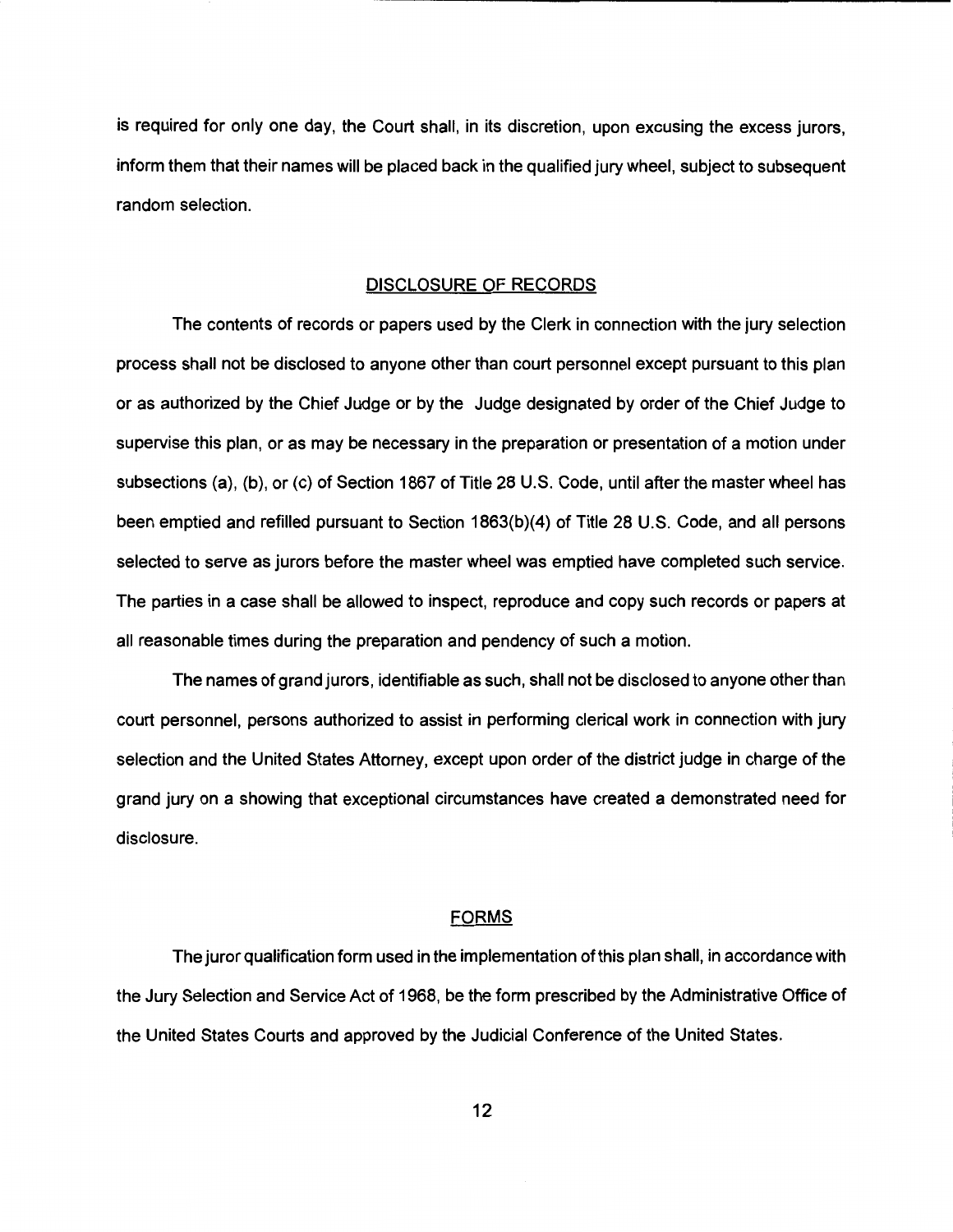is required for only one day, the Court shall, in its discretion, upon excusing the excess jurors, inform them that their names will be placed back in the qualified jury wheel, subject to subsequent random selection.

### DISCLOSURE OF RECORDS

The contents of records or papers used by the Clerk in connection with the jury selection process shall not be disclosed to anyone other than court personnel except pursuant to this plan or as authorized by the Chief Judge or by the Judge designated by order of the Chief Judge to supervise this plan, or as may be necessary in the preparation or presentation of a motion under subsections (a), (b), or (c) of Section 1867 of Title 28 U.S. Code, until after the master wheel has been emptied and refilled pursuant to Section 1863(b)(4) of Title 28 U.S. Code, and all persons selected to serve as jurors before the master wheel was emptied have completed such service. The parties in a case shall be allowed to inspect, reproduce and copy such records or papers at all reasonable times during the preparation and pendency of such a motion.

The names of grand jurors, identifiable as such, shall not be disclosed to anyone other than court personnel, persons authorized to assist in performing clerical work in connection with jury selection and the United States Attorney, except upon order of the district judge in charge of the grand jury on a showing that exceptional circumstances have created a demonstrated need for disclosure.

# FORMS

The juror qualification form used in the implementation of this plan shall, in accordance with the Jury Selection and Service Act of 1968, be the form prescribed by the Administrative Office of the United States Courts and approved by the Judicial Conference of the United States.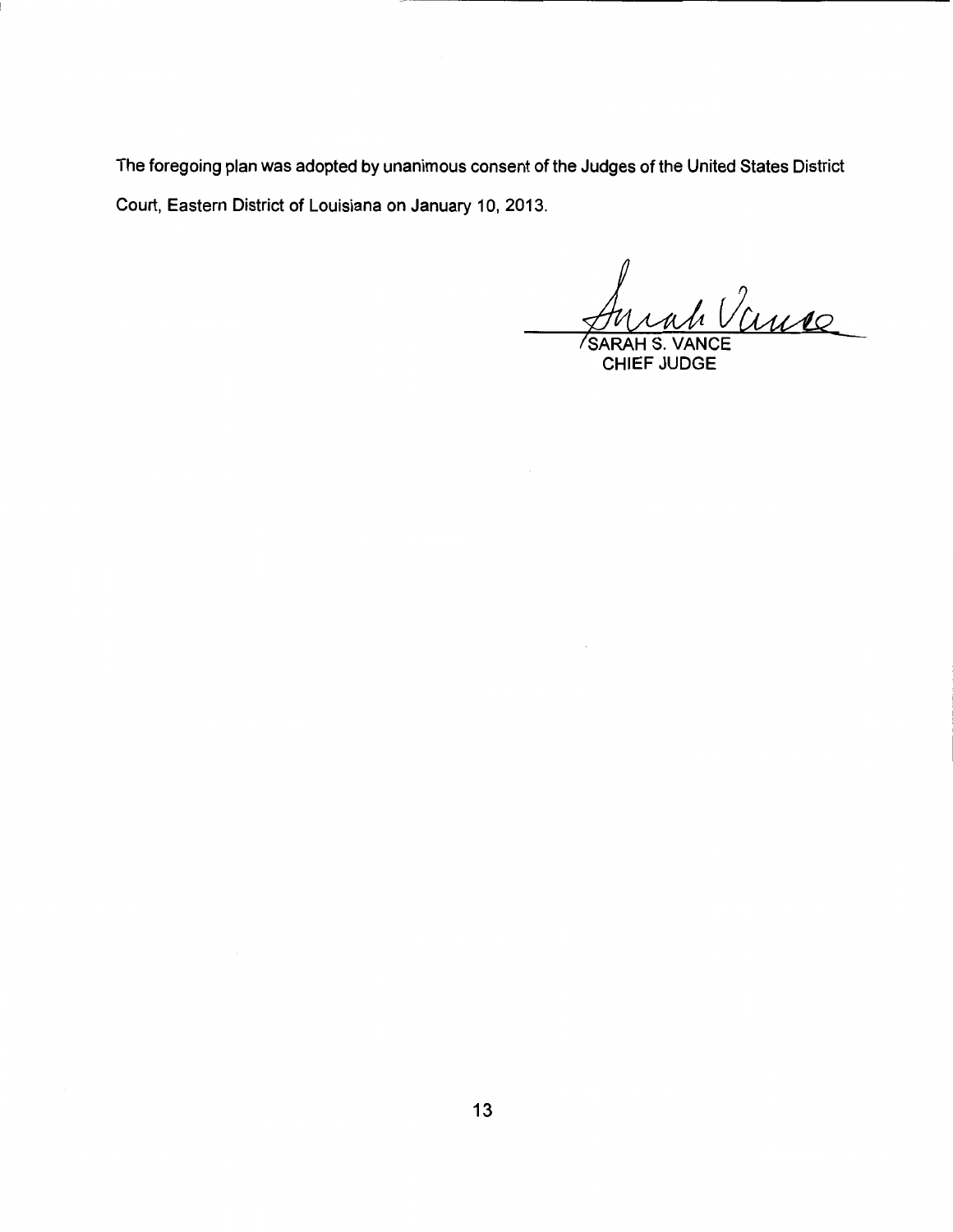The foregoing plan was adopted by unanimous consent of the Judges of the United States District Court, Eastern District of Louisiana on January 10, 2013.

/<br><u>Mrah Vinne</u><br>HEE HINT

CHIEF JUDGE